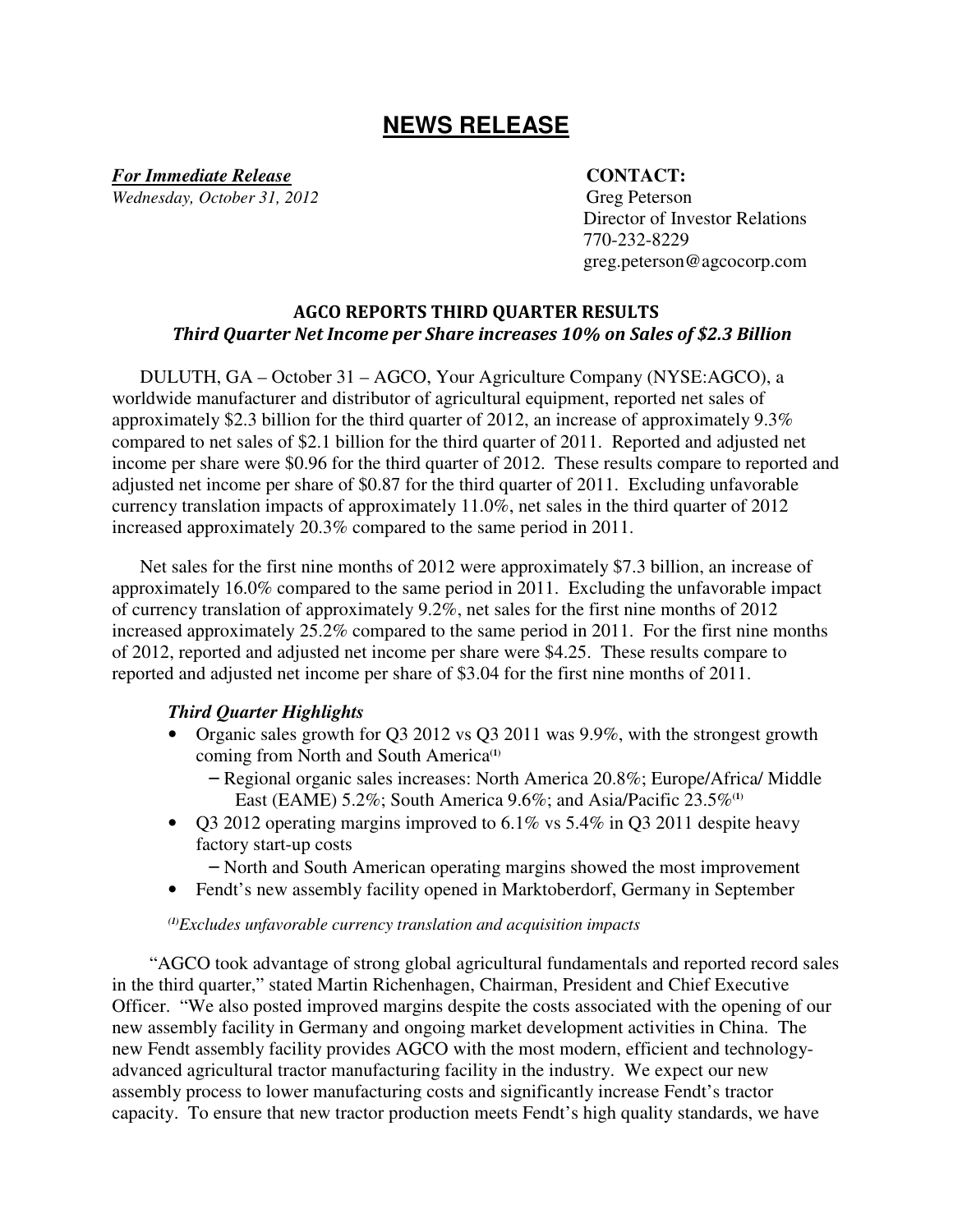# **NEWS RELEASE**

*For Immediate Release* **CONTACT:** Wednesday, October 31, 2012 Greg Peterson

 Director of Investor Relations 770-232-8229 greg.peterson@agcocorp.com

# AGCO REPORTS THIRD QUARTER RESULTS Third Quarter Net Income per Share increases 10% on Sales of \$2.3 Billion

DULUTH, GA – October 31 – AGCO, Your Agriculture Company (NYSE:AGCO), a worldwide manufacturer and distributor of agricultural equipment, reported net sales of approximately \$2.3 billion for the third quarter of 2012, an increase of approximately 9.3% compared to net sales of \$2.1 billion for the third quarter of 2011. Reported and adjusted net income per share were \$0.96 for the third quarter of 2012. These results compare to reported and adjusted net income per share of \$0.87 for the third quarter of 2011. Excluding unfavorable currency translation impacts of approximately 11.0%, net sales in the third quarter of 2012 increased approximately 20.3% compared to the same period in 2011.

Net sales for the first nine months of 2012 were approximately \$7.3 billion, an increase of approximately 16.0% compared to the same period in 2011. Excluding the unfavorable impact of currency translation of approximately 9.2%, net sales for the first nine months of 2012 increased approximately 25.2% compared to the same period in 2011. For the first nine months of 2012, reported and adjusted net income per share were \$4.25. These results compare to reported and adjusted net income per share of \$3.04 for the first nine months of 2011.

## *Third Quarter Highlights*

- Organic sales growth for Q3 2012 vs Q3 2011 was 9.9%, with the strongest growth coming from North and South America**(1)**
	- − Regional organic sales increases: North America 20.8%; Europe/Africa/ Middle East (EAME) 5.2%; South America 9.6%; and Asia/Pacific 23.5%**(1)**
- Q3 2012 operating margins improved to 6.1% vs 5.4% in Q3 2011 despite heavy factory start-up costs
	- − North and South American operating margins showed the most improvement
- Fendt's new assembly facility opened in Marktoberdorf, Germany in September

### *(1)Excludes unfavorable currency translation and acquisition impacts*

 "AGCO took advantage of strong global agricultural fundamentals and reported record sales in the third quarter," stated Martin Richenhagen, Chairman, President and Chief Executive Officer. "We also posted improved margins despite the costs associated with the opening of our new assembly facility in Germany and ongoing market development activities in China. The new Fendt assembly facility provides AGCO with the most modern, efficient and technologyadvanced agricultural tractor manufacturing facility in the industry. We expect our new assembly process to lower manufacturing costs and significantly increase Fendt's tractor capacity. To ensure that new tractor production meets Fendt's high quality standards, we have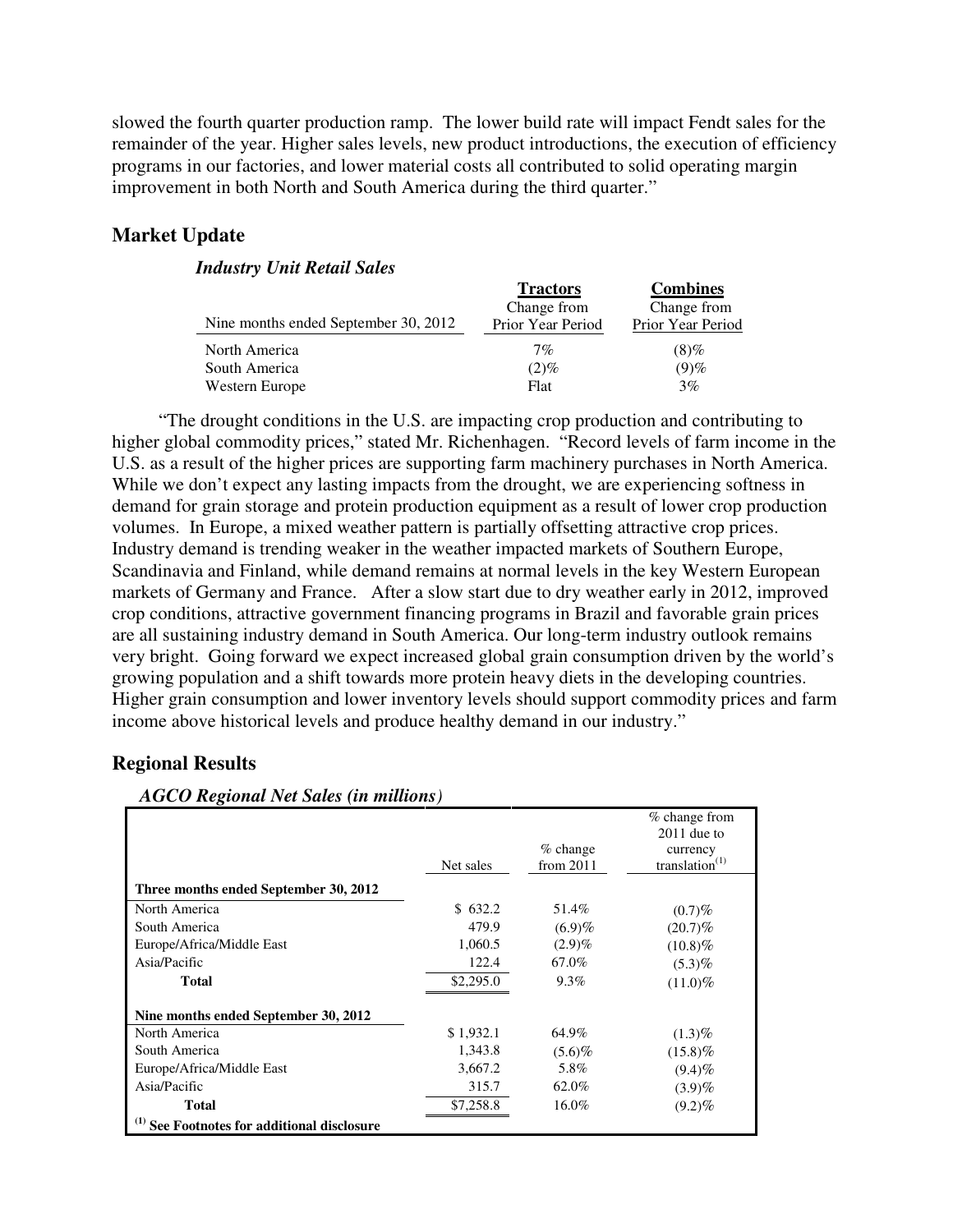slowed the fourth quarter production ramp. The lower build rate will impact Fendt sales for the remainder of the year. Higher sales levels, new product introductions, the execution of efficiency programs in our factories, and lower material costs all contributed to solid operating margin improvement in both North and South America during the third quarter."

# **Market Update**

### *Industry Unit Retail Sales*

| 1 ractors         | Compines          |
|-------------------|-------------------|
| Change from       | Change from       |
| Prior Year Period | Prior Year Period |
| 7%                | $(8)\%$           |
| $(2)\%$           | $(9)$ %           |
| Flat              | 3%                |
|                   |                   |

**Tractors** 

**Combines**

 "The drought conditions in the U.S. are impacting crop production and contributing to higher global commodity prices," stated Mr. Richenhagen. "Record levels of farm income in the U.S. as a result of the higher prices are supporting farm machinery purchases in North America. While we don't expect any lasting impacts from the drought, we are experiencing softness in demand for grain storage and protein production equipment as a result of lower crop production volumes. In Europe, a mixed weather pattern is partially offsetting attractive crop prices. Industry demand is trending weaker in the weather impacted markets of Southern Europe, Scandinavia and Finland, while demand remains at normal levels in the key Western European markets of Germany and France. After a slow start due to dry weather early in 2012, improved crop conditions, attractive government financing programs in Brazil and favorable grain prices are all sustaining industry demand in South America. Our long-term industry outlook remains very bright. Going forward we expect increased global grain consumption driven by the world's growing population and a shift towards more protein heavy diets in the developing countries. Higher grain consumption and lower inventory levels should support commodity prices and farm income above historical levels and produce healthy demand in our industry."

## **Regional Results**

|                                                        | $%$ change from |             |                   |  |  |
|--------------------------------------------------------|-----------------|-------------|-------------------|--|--|
|                                                        |                 |             | $2011$ due to     |  |  |
|                                                        |                 | $%$ change  | currency          |  |  |
|                                                        | Net sales       | from $2011$ | translation $(1)$ |  |  |
| Three months ended September 30, 2012                  |                 |             |                   |  |  |
| North America                                          | \$632.2         | 51.4%       | $(0.7)\%$         |  |  |
| South America                                          | 479.9           | (6.9)%      | $(20.7)\%$        |  |  |
| Europe/Africa/Middle East                              | 1,060.5         | (2.9)%      | $(10.8)\%$        |  |  |
| Asia/Pacific                                           | 122.4           | 67.0%       | $(5.3)\%$         |  |  |
| <b>Total</b>                                           | \$2,295.0       | 9.3%        | $(11.0)\%$        |  |  |
|                                                        |                 |             |                   |  |  |
| Nine months ended September 30, 2012                   |                 |             |                   |  |  |
| North America                                          | \$1,932.1       | 64.9%       | $(1.3)\%$         |  |  |
| South America                                          | 1,343.8         | $(5.6)\%$   | $(15.8)\%$        |  |  |
| Europe/Africa/Middle East                              | 3,667.2         | 5.8%        | $(9.4)\%$         |  |  |
| Asia/Pacific                                           | 315.7           | 62.0%       | (3.9)%            |  |  |
| Total                                                  | \$7,258.8       | $16.0\%$    | $(9.2)\%$         |  |  |
| <sup>(1)</sup> See Footnotes for additional disclosure |                 |             |                   |  |  |

*AGCO Regional Net Sales (in millions)*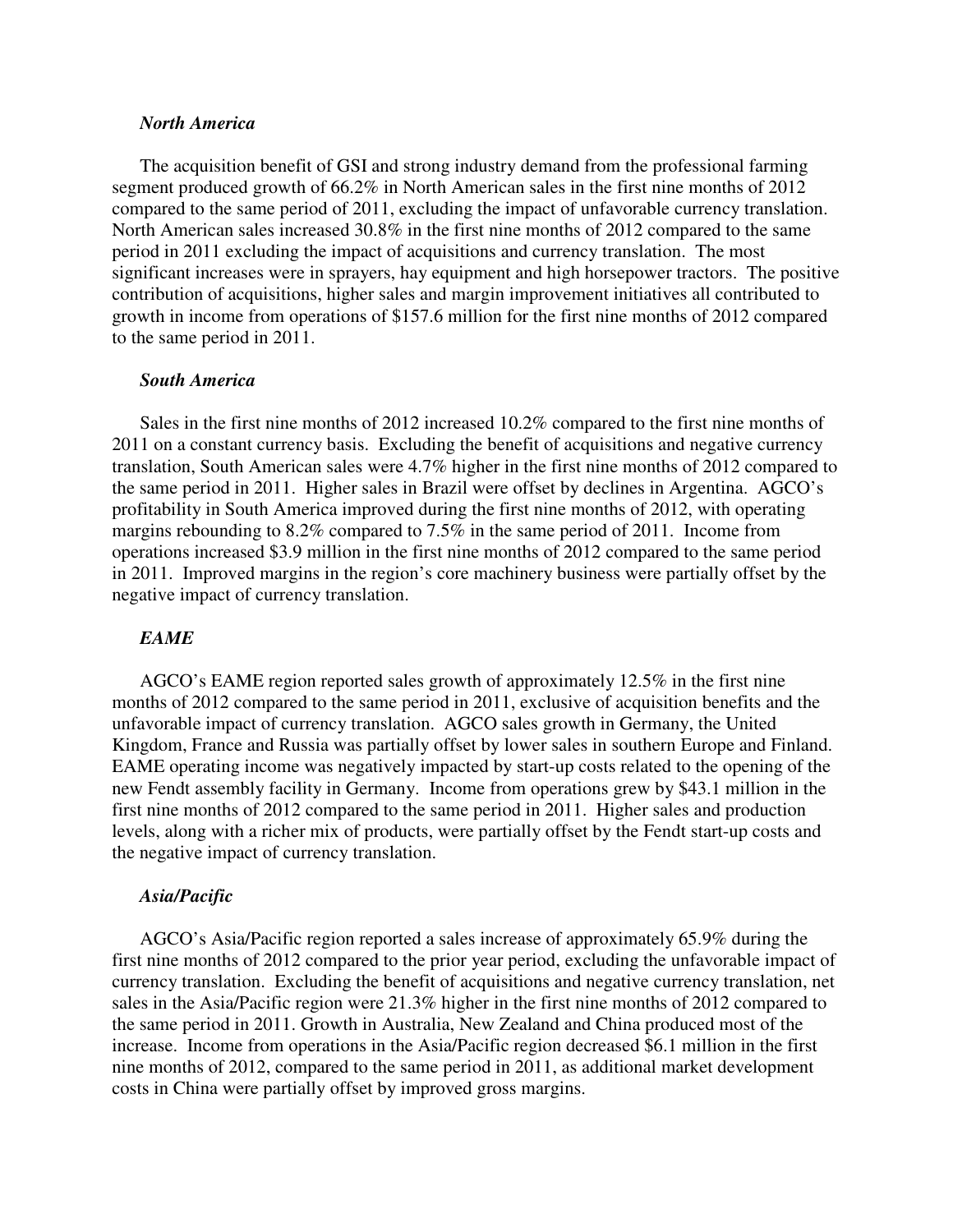### *North America*

The acquisition benefit of GSI and strong industry demand from the professional farming segment produced growth of 66.2% in North American sales in the first nine months of 2012 compared to the same period of 2011, excluding the impact of unfavorable currency translation. North American sales increased 30.8% in the first nine months of 2012 compared to the same period in 2011 excluding the impact of acquisitions and currency translation. The most significant increases were in sprayers, hay equipment and high horsepower tractors. The positive contribution of acquisitions, higher sales and margin improvement initiatives all contributed to growth in income from operations of \$157.6 million for the first nine months of 2012 compared to the same period in 2011.

#### *South America*

Sales in the first nine months of 2012 increased 10.2% compared to the first nine months of 2011 on a constant currency basis. Excluding the benefit of acquisitions and negative currency translation, South American sales were 4.7% higher in the first nine months of 2012 compared to the same period in 2011. Higher sales in Brazil were offset by declines in Argentina. AGCO's profitability in South America improved during the first nine months of 2012, with operating margins rebounding to 8.2% compared to 7.5% in the same period of 2011. Income from operations increased \$3.9 million in the first nine months of 2012 compared to the same period in 2011. Improved margins in the region's core machinery business were partially offset by the negative impact of currency translation.

### *EAME*

AGCO's EAME region reported sales growth of approximately 12.5% in the first nine months of 2012 compared to the same period in 2011, exclusive of acquisition benefits and the unfavorable impact of currency translation. AGCO sales growth in Germany, the United Kingdom, France and Russia was partially offset by lower sales in southern Europe and Finland. EAME operating income was negatively impacted by start-up costs related to the opening of the new Fendt assembly facility in Germany. Income from operations grew by \$43.1 million in the first nine months of 2012 compared to the same period in 2011. Higher sales and production levels, along with a richer mix of products, were partially offset by the Fendt start-up costs and the negative impact of currency translation.

#### *Asia/Pacific*

AGCO's Asia/Pacific region reported a sales increase of approximately 65.9% during the first nine months of 2012 compared to the prior year period, excluding the unfavorable impact of currency translation. Excluding the benefit of acquisitions and negative currency translation, net sales in the Asia/Pacific region were 21.3% higher in the first nine months of 2012 compared to the same period in 2011. Growth in Australia, New Zealand and China produced most of the increase. Income from operations in the Asia/Pacific region decreased \$6.1 million in the first nine months of 2012, compared to the same period in 2011, as additional market development costs in China were partially offset by improved gross margins.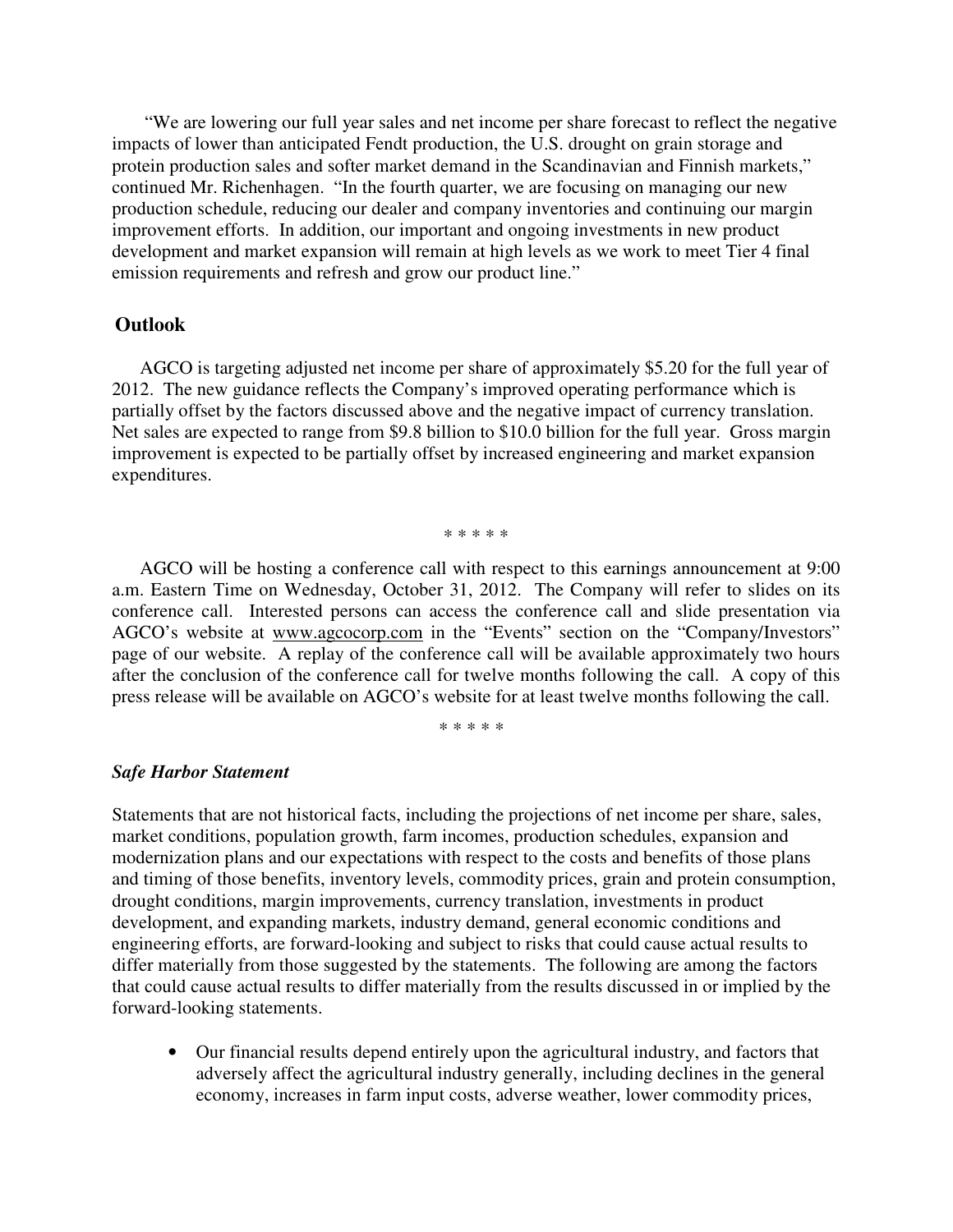"We are lowering our full year sales and net income per share forecast to reflect the negative impacts of lower than anticipated Fendt production, the U.S. drought on grain storage and protein production sales and softer market demand in the Scandinavian and Finnish markets," continued Mr. Richenhagen. "In the fourth quarter, we are focusing on managing our new production schedule, reducing our dealer and company inventories and continuing our margin improvement efforts. In addition, our important and ongoing investments in new product development and market expansion will remain at high levels as we work to meet Tier 4 final emission requirements and refresh and grow our product line."

### **Outlook**

AGCO is targeting adjusted net income per share of approximately \$5.20 for the full year of 2012. The new guidance reflects the Company's improved operating performance which is partially offset by the factors discussed above and the negative impact of currency translation. Net sales are expected to range from \$9.8 billion to \$10.0 billion for the full year. Gross margin improvement is expected to be partially offset by increased engineering and market expansion expenditures.

#### \* \* \* \* \*

AGCO will be hosting a conference call with respect to this earnings announcement at 9:00 a.m. Eastern Time on Wednesday, October 31, 2012. The Company will refer to slides on its conference call. Interested persons can access the conference call and slide presentation via AGCO's website at www.agcocorp.com in the "Events" section on the "Company/Investors" page of our website. A replay of the conference call will be available approximately two hours after the conclusion of the conference call for twelve months following the call. A copy of this press release will be available on AGCO's website for at least twelve months following the call.

\* \* \* \* \*

#### *Safe Harbor Statement*

Statements that are not historical facts, including the projections of net income per share, sales, market conditions, population growth, farm incomes, production schedules, expansion and modernization plans and our expectations with respect to the costs and benefits of those plans and timing of those benefits, inventory levels, commodity prices, grain and protein consumption, drought conditions, margin improvements, currency translation, investments in product development, and expanding markets, industry demand, general economic conditions and engineering efforts, are forward-looking and subject to risks that could cause actual results to differ materially from those suggested by the statements. The following are among the factors that could cause actual results to differ materially from the results discussed in or implied by the forward-looking statements.

• Our financial results depend entirely upon the agricultural industry, and factors that adversely affect the agricultural industry generally, including declines in the general economy, increases in farm input costs, adverse weather, lower commodity prices,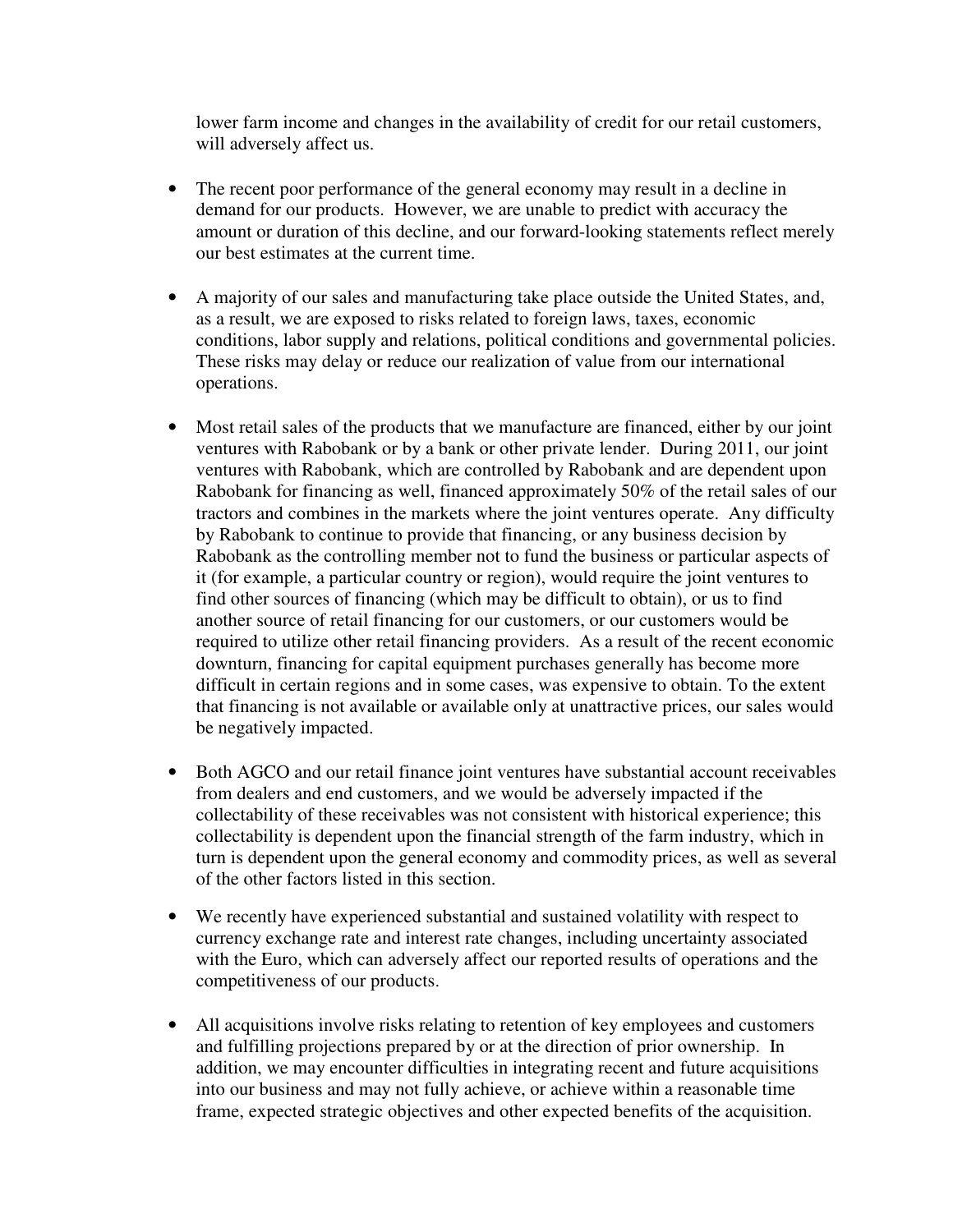lower farm income and changes in the availability of credit for our retail customers, will adversely affect us.

- The recent poor performance of the general economy may result in a decline in demand for our products. However, we are unable to predict with accuracy the amount or duration of this decline, and our forward-looking statements reflect merely our best estimates at the current time.
- A majority of our sales and manufacturing take place outside the United States, and, as a result, we are exposed to risks related to foreign laws, taxes, economic conditions, labor supply and relations, political conditions and governmental policies. These risks may delay or reduce our realization of value from our international operations.
- Most retail sales of the products that we manufacture are financed, either by our joint ventures with Rabobank or by a bank or other private lender. During 2011, our joint ventures with Rabobank, which are controlled by Rabobank and are dependent upon Rabobank for financing as well, financed approximately 50% of the retail sales of our tractors and combines in the markets where the joint ventures operate. Any difficulty by Rabobank to continue to provide that financing, or any business decision by Rabobank as the controlling member not to fund the business or particular aspects of it (for example, a particular country or region), would require the joint ventures to find other sources of financing (which may be difficult to obtain), or us to find another source of retail financing for our customers, or our customers would be required to utilize other retail financing providers. As a result of the recent economic downturn, financing for capital equipment purchases generally has become more difficult in certain regions and in some cases, was expensive to obtain. To the extent that financing is not available or available only at unattractive prices, our sales would be negatively impacted.
- Both AGCO and our retail finance joint ventures have substantial account receivables from dealers and end customers, and we would be adversely impacted if the collectability of these receivables was not consistent with historical experience; this collectability is dependent upon the financial strength of the farm industry, which in turn is dependent upon the general economy and commodity prices, as well as several of the other factors listed in this section.
- We recently have experienced substantial and sustained volatility with respect to currency exchange rate and interest rate changes, including uncertainty associated with the Euro, which can adversely affect our reported results of operations and the competitiveness of our products.
- All acquisitions involve risks relating to retention of key employees and customers and fulfilling projections prepared by or at the direction of prior ownership. In addition, we may encounter difficulties in integrating recent and future acquisitions into our business and may not fully achieve, or achieve within a reasonable time frame, expected strategic objectives and other expected benefits of the acquisition.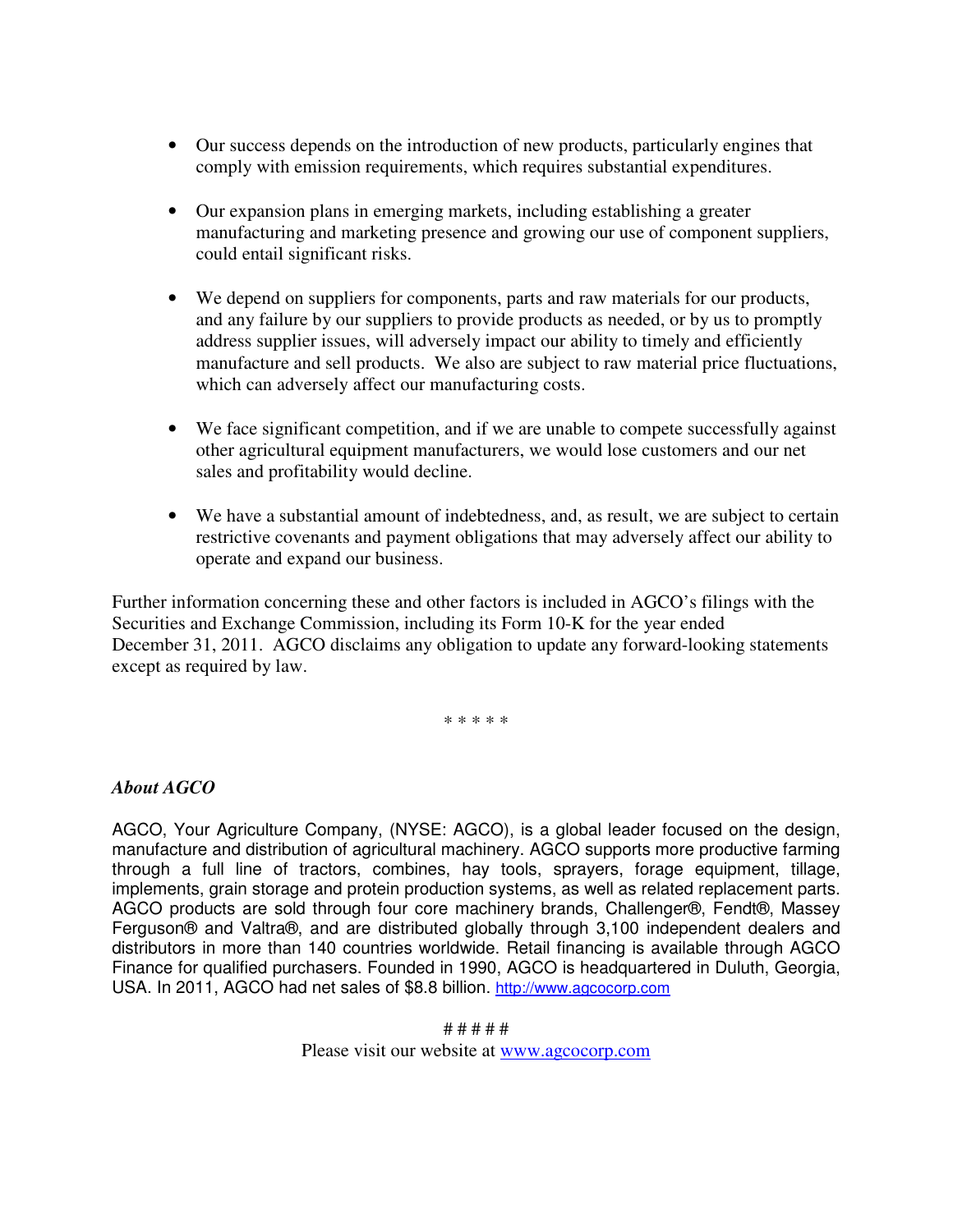- Our success depends on the introduction of new products, particularly engines that comply with emission requirements, which requires substantial expenditures.
- Our expansion plans in emerging markets, including establishing a greater manufacturing and marketing presence and growing our use of component suppliers, could entail significant risks.
- We depend on suppliers for components, parts and raw materials for our products, and any failure by our suppliers to provide products as needed, or by us to promptly address supplier issues, will adversely impact our ability to timely and efficiently manufacture and sell products. We also are subject to raw material price fluctuations, which can adversely affect our manufacturing costs.
- We face significant competition, and if we are unable to compete successfully against other agricultural equipment manufacturers, we would lose customers and our net sales and profitability would decline.
- We have a substantial amount of indebtedness, and, as result, we are subject to certain restrictive covenants and payment obligations that may adversely affect our ability to operate and expand our business.

Further information concerning these and other factors is included in AGCO's filings with the Securities and Exchange Commission, including its Form 10-K for the year ended December 31, 2011. AGCO disclaims any obligation to update any forward-looking statements except as required by law.

\* \* \* \* \*

## *About AGCO*

AGCO, Your Agriculture Company, (NYSE: AGCO), is a global leader focused on the design. manufacture and distribution of agricultural machinery. AGCO supports more productive farming through a full line of tractors, combines, hay tools, sprayers, forage equipment, tillage, implements, grain storage and protein production systems, as well as related replacement parts. AGCO products are sold through four core machinery brands, Challenger®, Fendt®, Massey Ferguson® and Valtra®, and are distributed globally through 3,100 independent dealers and distributors in more than 140 countries worldwide. Retail financing is available through AGCO Finance for qualified purchasers. Founded in 1990, AGCO is headquartered in Duluth, Georgia, USA. In 2011, AGCO had net sales of \$8.8 billion. http://www.agcocorp.com

> # # # # # Please visit our website at www.agcocorp.com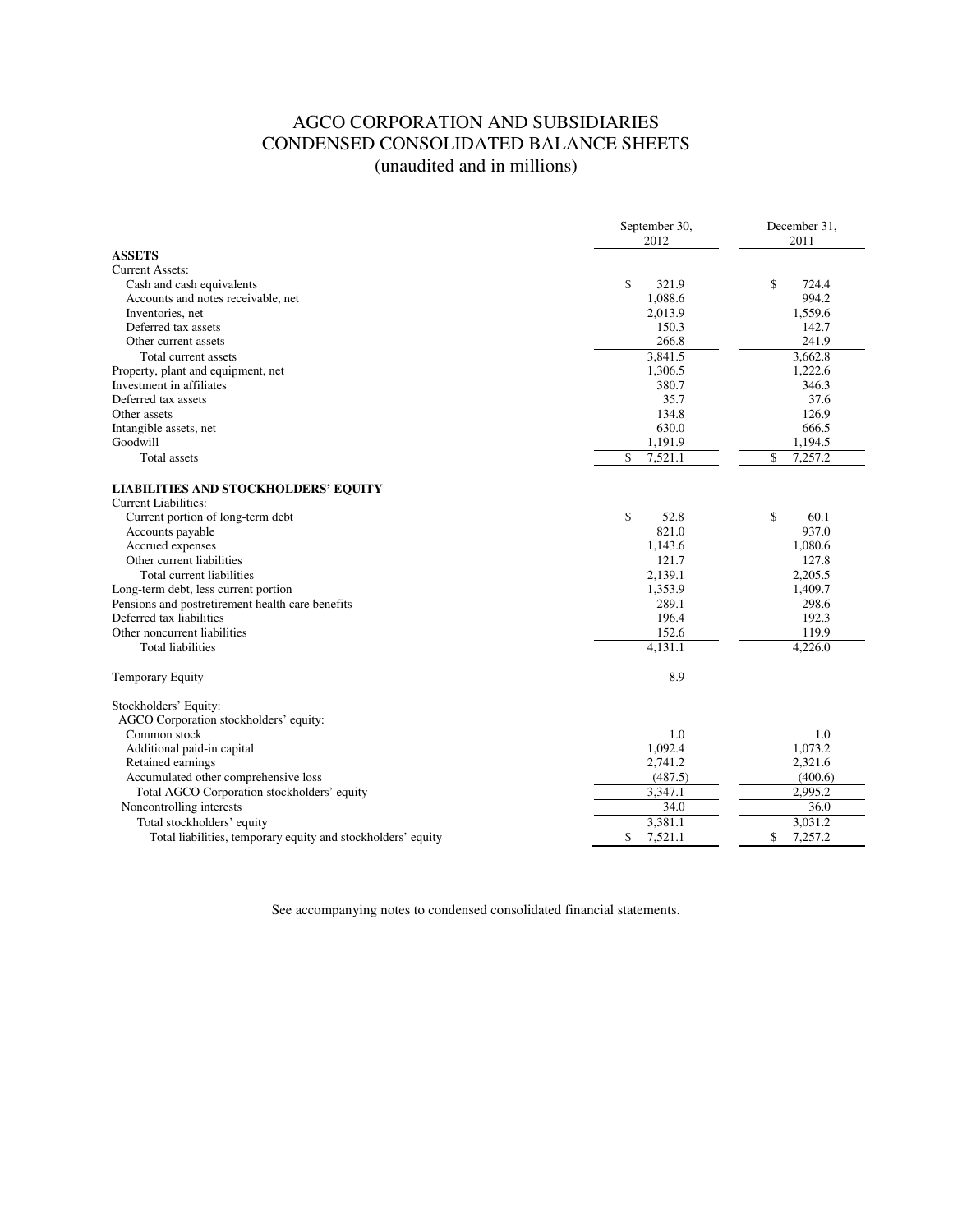# AGCO CORPORATION AND SUBSIDIARIES CONDENSED CONSOLIDATED BALANCE SHEETS (unaudited and in millions)

|                                                              | September 30,<br>2012 | December 31,<br>2011 |
|--------------------------------------------------------------|-----------------------|----------------------|
| <b>ASSETS</b>                                                |                       |                      |
| <b>Current Assets:</b>                                       |                       |                      |
| Cash and cash equivalents                                    | \$<br>321.9           | \$<br>724.4          |
| Accounts and notes receivable, net                           | 1,088.6               | 994.2                |
| Inventories, net                                             | 2,013.9               | 1,559.6              |
| Deferred tax assets                                          | 150.3                 | 142.7                |
| Other current assets                                         | 266.8                 | 241.9                |
| Total current assets                                         | 3,841.5               | 3,662.8              |
| Property, plant and equipment, net                           | 1,306.5               | 1,222.6              |
| Investment in affiliates                                     | 380.7                 | 346.3                |
| Deferred tax assets                                          | 35.7                  | 37.6                 |
| Other assets                                                 | 134.8                 | 126.9                |
| Intangible assets, net                                       | 630.0                 | 666.5                |
| Goodwill                                                     | 1,191.9               | 1,194.5              |
| Total assets                                                 | \$<br>7,521.1         | 7,257.2<br>\$        |
| <b>LIABILITIES AND STOCKHOLDERS' EQUITY</b>                  |                       |                      |
| Current Liabilities:                                         |                       |                      |
| Current portion of long-term debt                            | \$<br>52.8            | \$<br>60.1           |
| Accounts payable                                             | 821.0                 | 937.0                |
| Accrued expenses                                             | 1,143.6               | 1,080.6              |
| Other current liabilities                                    | 121.7                 | 127.8                |
| Total current liabilities                                    | 2,139.1               | 2,205.5              |
| Long-term debt, less current portion                         | 1,353.9               | 1,409.7              |
| Pensions and postretirement health care benefits             | 289.1                 | 298.6                |
| Deferred tax liabilities                                     | 196.4                 | 192.3                |
| Other noncurrent liabilities                                 | 152.6                 | 119.9                |
| <b>Total liabilities</b>                                     | 4,131.1               | 4,226.0              |
| <b>Temporary Equity</b>                                      | 8.9                   |                      |
| Stockholders' Equity:                                        |                       |                      |
| AGCO Corporation stockholders' equity:                       |                       |                      |
| Common stock                                                 | 1.0                   | 1.0                  |
| Additional paid-in capital                                   | 1,092.4               | 1,073.2              |
| Retained earnings                                            | 2,741.2               | 2,321.6              |
| Accumulated other comprehensive loss                         | (487.5)               | (400.6)              |
| Total AGCO Corporation stockholders' equity                  | 3,347.1               | 2,995.2              |
| Noncontrolling interests                                     | 34.0                  | 36.0                 |
| Total stockholders' equity                                   | 3,381.1               | 3,031.2              |
| Total liabilities, temporary equity and stockholders' equity | \$<br>7,521.1         | \$<br>7,257.2        |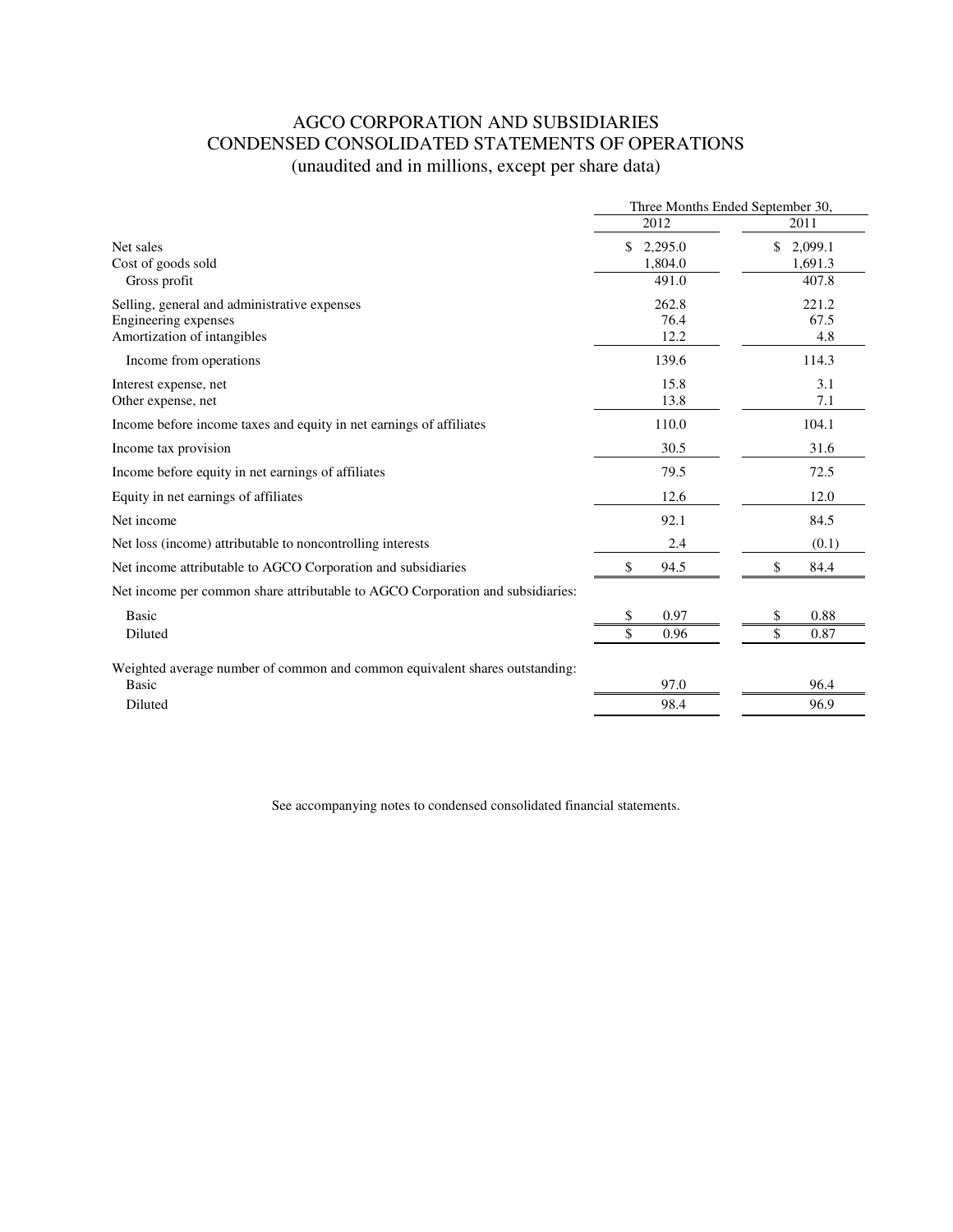# AGCO CORPORATION AND SUBSIDIARIES CONDENSED CONSOLIDATED STATEMENTS OF OPERATIONS (unaudited and in millions, except per share data)

|                                                                                | Three Months Ended September 30, |               |  |
|--------------------------------------------------------------------------------|----------------------------------|---------------|--|
|                                                                                | 2012                             | 2011          |  |
| Net sales                                                                      | \$<br>2,295.0                    | \$<br>2,099.1 |  |
| Cost of goods sold                                                             | 1,804.0                          | 1,691.3       |  |
| Gross profit                                                                   | 491.0                            | 407.8         |  |
| Selling, general and administrative expenses                                   | 262.8                            | 221.2         |  |
| Engineering expenses                                                           | 76.4                             | 67.5          |  |
| Amortization of intangibles                                                    | 12.2                             | 4.8           |  |
| Income from operations                                                         | 139.6                            | 114.3         |  |
| Interest expense, net                                                          | 15.8                             | 3.1           |  |
| Other expense, net                                                             | 13.8                             | 7.1           |  |
| Income before income taxes and equity in net earnings of affiliates            | 110.0                            | 104.1         |  |
| Income tax provision                                                           | 30.5                             | 31.6          |  |
| Income before equity in net earnings of affiliates                             | 79.5                             | 72.5          |  |
| Equity in net earnings of affiliates                                           | 12.6                             | 12.0          |  |
| Net income                                                                     | 92.1                             | 84.5          |  |
| Net loss (income) attributable to noncontrolling interests                     | 2.4                              | (0.1)         |  |
| Net income attributable to AGCO Corporation and subsidiaries                   | \$<br>94.5                       | \$<br>84.4    |  |
| Net income per common share attributable to AGCO Corporation and subsidiaries: |                                  |               |  |
| <b>Basic</b>                                                                   | 0.97<br>S                        | 0.88<br>\$    |  |
| Diluted                                                                        | \$<br>0.96                       | \$<br>0.87    |  |
| Weighted average number of common and common equivalent shares outstanding:    |                                  |               |  |
| <b>Basic</b>                                                                   | 97.0                             | 96.4          |  |
| Diluted                                                                        | 98.4                             | 96.9          |  |
|                                                                                |                                  |               |  |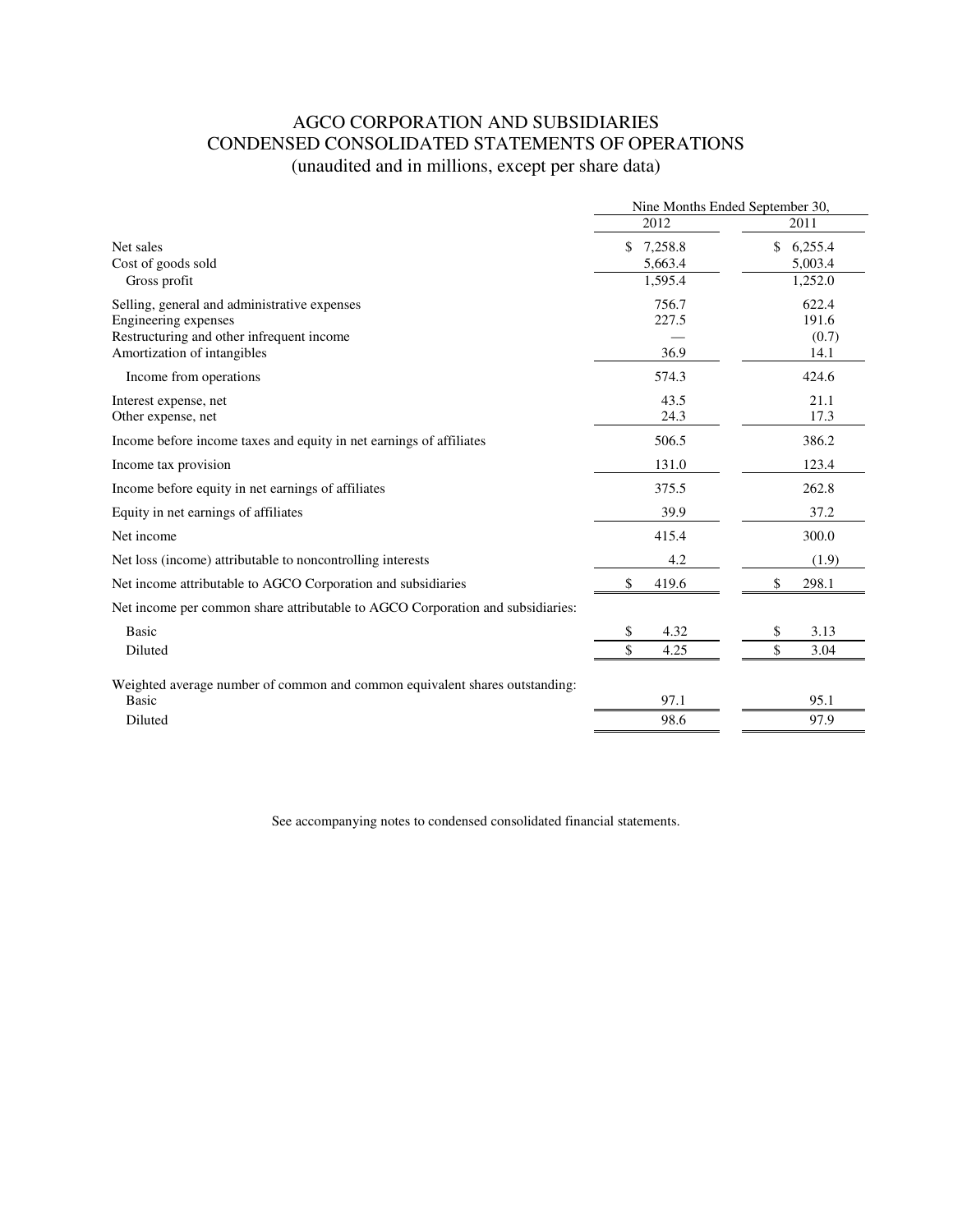# AGCO CORPORATION AND SUBSIDIARIES CONDENSED CONSOLIDATED STATEMENTS OF OPERATIONS (unaudited and in millions, except per share data)

|                                                                                | Nine Months Ended September 30, |               |  |
|--------------------------------------------------------------------------------|---------------------------------|---------------|--|
|                                                                                | 2012                            | 2011          |  |
| Net sales                                                                      | \$<br>7,258.8                   | \$<br>6,255.4 |  |
| Cost of goods sold                                                             | 5,663.4                         | 5,003.4       |  |
| Gross profit                                                                   | 1,595.4                         | 1,252.0       |  |
| Selling, general and administrative expenses                                   | 756.7                           | 622.4         |  |
| Engineering expenses                                                           | 227.5                           | 191.6         |  |
| Restructuring and other infrequent income                                      |                                 | (0.7)         |  |
| Amortization of intangibles                                                    | 36.9                            | 14.1          |  |
| Income from operations                                                         | 574.3                           | 424.6         |  |
| Interest expense, net                                                          | 43.5                            | 21.1          |  |
| Other expense, net                                                             | 24.3                            | 17.3          |  |
| Income before income taxes and equity in net earnings of affiliates            | 506.5                           | 386.2         |  |
| Income tax provision                                                           | 131.0                           | 123.4         |  |
| Income before equity in net earnings of affiliates                             | 375.5                           | 262.8         |  |
| Equity in net earnings of affiliates                                           | 39.9                            | 37.2          |  |
| Net income                                                                     | 415.4                           | 300.0         |  |
| Net loss (income) attributable to noncontrolling interests                     | 4.2                             | (1.9)         |  |
| Net income attributable to AGCO Corporation and subsidiaries                   | \$<br>419.6                     | 298.1<br>\$   |  |
| Net income per common share attributable to AGCO Corporation and subsidiaries: |                                 |               |  |
| <b>Basic</b>                                                                   | 4.32<br>S                       | 3.13<br>\$    |  |
| Diluted                                                                        | \$<br>4.25                      | \$<br>3.04    |  |
| Weighted average number of common and common equivalent shares outstanding:    |                                 |               |  |
| Basic                                                                          | 97.1                            | 95.1          |  |
| Diluted                                                                        | 98.6                            | 97.9          |  |
|                                                                                |                                 |               |  |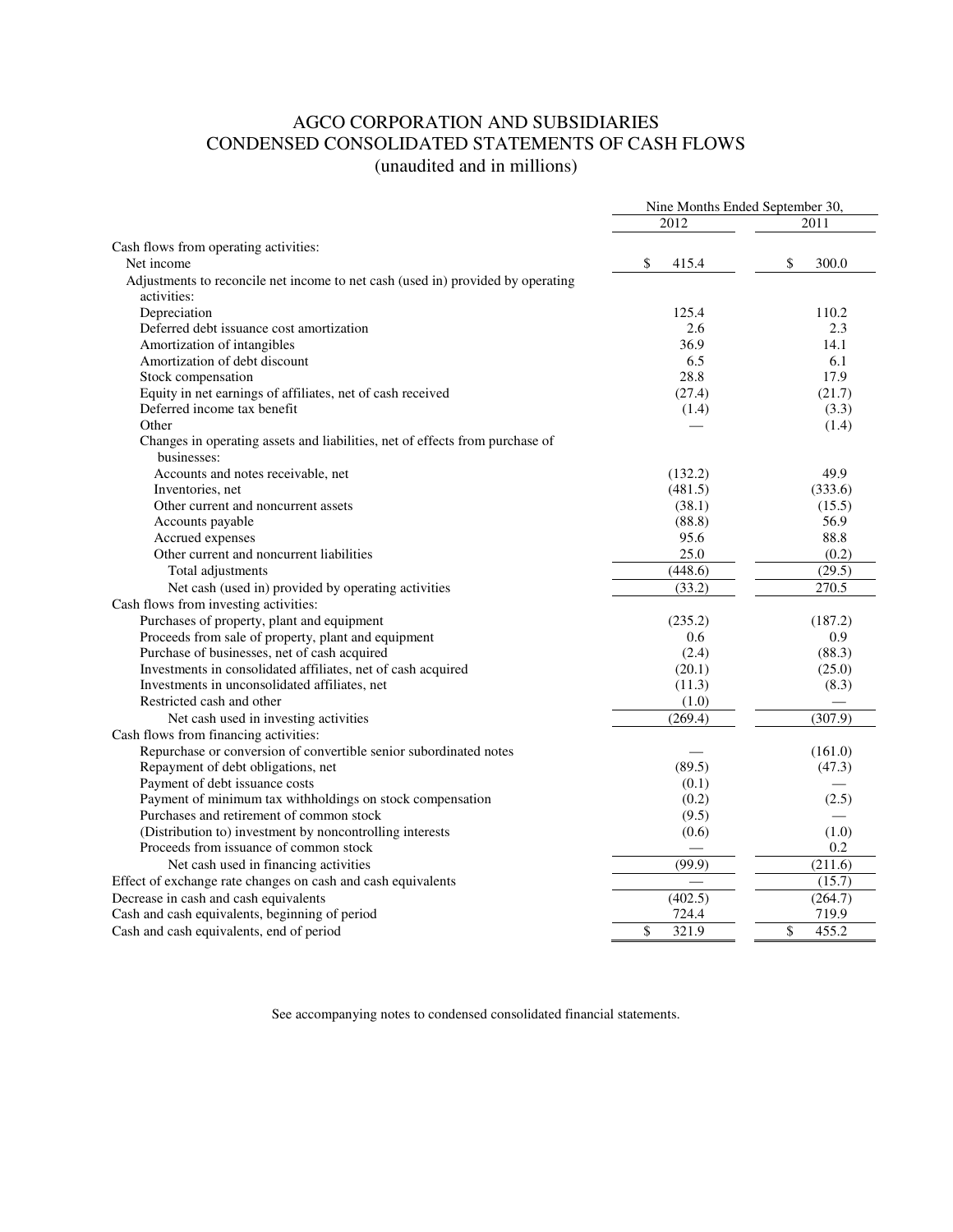# AGCO CORPORATION AND SUBSIDIARIES CONDENSED CONSOLIDATED STATEMENTS OF CASH FLOWS (unaudited and in millions)

|                                                                                 | Nine Months Ended September 30, |             |  |  |
|---------------------------------------------------------------------------------|---------------------------------|-------------|--|--|
|                                                                                 | $\overline{2012}$               | 2011        |  |  |
| Cash flows from operating activities:                                           |                                 |             |  |  |
| Net income                                                                      | \$<br>415.4                     | \$<br>300.0 |  |  |
| Adjustments to reconcile net income to net cash (used in) provided by operating |                                 |             |  |  |
| activities:                                                                     |                                 |             |  |  |
| Depreciation                                                                    | 125.4                           | 110.2       |  |  |
| Deferred debt issuance cost amortization                                        | 2.6                             | 2.3         |  |  |
| Amortization of intangibles                                                     | 36.9                            | 14.1        |  |  |
| Amortization of debt discount                                                   | 6.5                             | 6.1         |  |  |
| Stock compensation                                                              | 28.8                            | 17.9        |  |  |
| Equity in net earnings of affiliates, net of cash received                      | (27.4)                          | (21.7)      |  |  |
| Deferred income tax benefit                                                     | (1.4)                           | (3.3)       |  |  |
| Other                                                                           |                                 | (1.4)       |  |  |
| Changes in operating assets and liabilities, net of effects from purchase of    |                                 |             |  |  |
| businesses:                                                                     |                                 |             |  |  |
| Accounts and notes receivable, net                                              | (132.2)                         | 49.9        |  |  |
| Inventories, net                                                                | (481.5)                         | (333.6)     |  |  |
| Other current and noncurrent assets                                             | (38.1)                          | (15.5)      |  |  |
| Accounts payable                                                                | (88.8)                          | 56.9        |  |  |
| Accrued expenses                                                                | 95.6                            | 88.8        |  |  |
| Other current and noncurrent liabilities                                        | 25.0                            | (0.2)       |  |  |
| Total adjustments                                                               | (448.6)                         | (29.5)      |  |  |
| Net cash (used in) provided by operating activities                             | (33.2)                          | 270.5       |  |  |
| Cash flows from investing activities:                                           |                                 |             |  |  |
| Purchases of property, plant and equipment                                      | (235.2)                         | (187.2)     |  |  |
| Proceeds from sale of property, plant and equipment                             | 0.6                             | 0.9         |  |  |
| Purchase of businesses, net of cash acquired                                    | (2.4)                           | (88.3)      |  |  |
| Investments in consolidated affiliates, net of cash acquired                    | (20.1)                          | (25.0)      |  |  |
| Investments in unconsolidated affiliates, net                                   | (11.3)                          | (8.3)       |  |  |
| Restricted cash and other                                                       | (1.0)                           |             |  |  |
| Net cash used in investing activities                                           | (269.4)                         | (307.9)     |  |  |
| Cash flows from financing activities:                                           |                                 |             |  |  |
| Repurchase or conversion of convertible senior subordinated notes               |                                 | (161.0)     |  |  |
| Repayment of debt obligations, net                                              | (89.5)                          | (47.3)      |  |  |
| Payment of debt issuance costs                                                  | (0.1)                           |             |  |  |
| Payment of minimum tax withholdings on stock compensation                       | (0.2)                           | (2.5)       |  |  |
| Purchases and retirement of common stock                                        | (9.5)                           |             |  |  |
| (Distribution to) investment by noncontrolling interests                        | (0.6)                           | (1.0)       |  |  |
| Proceeds from issuance of common stock                                          |                                 | 0.2         |  |  |
| Net cash used in financing activities                                           | (99.9)                          | (211.6)     |  |  |
| Effect of exchange rate changes on cash and cash equivalents                    |                                 | (15.7)      |  |  |
| Decrease in cash and cash equivalents                                           | (402.5)                         | (264.7)     |  |  |
| Cash and cash equivalents, beginning of period                                  | 724.4                           | 719.9       |  |  |
| Cash and cash equivalents, end of period                                        | $\overline{\$}$<br>321.9        | \$<br>455.2 |  |  |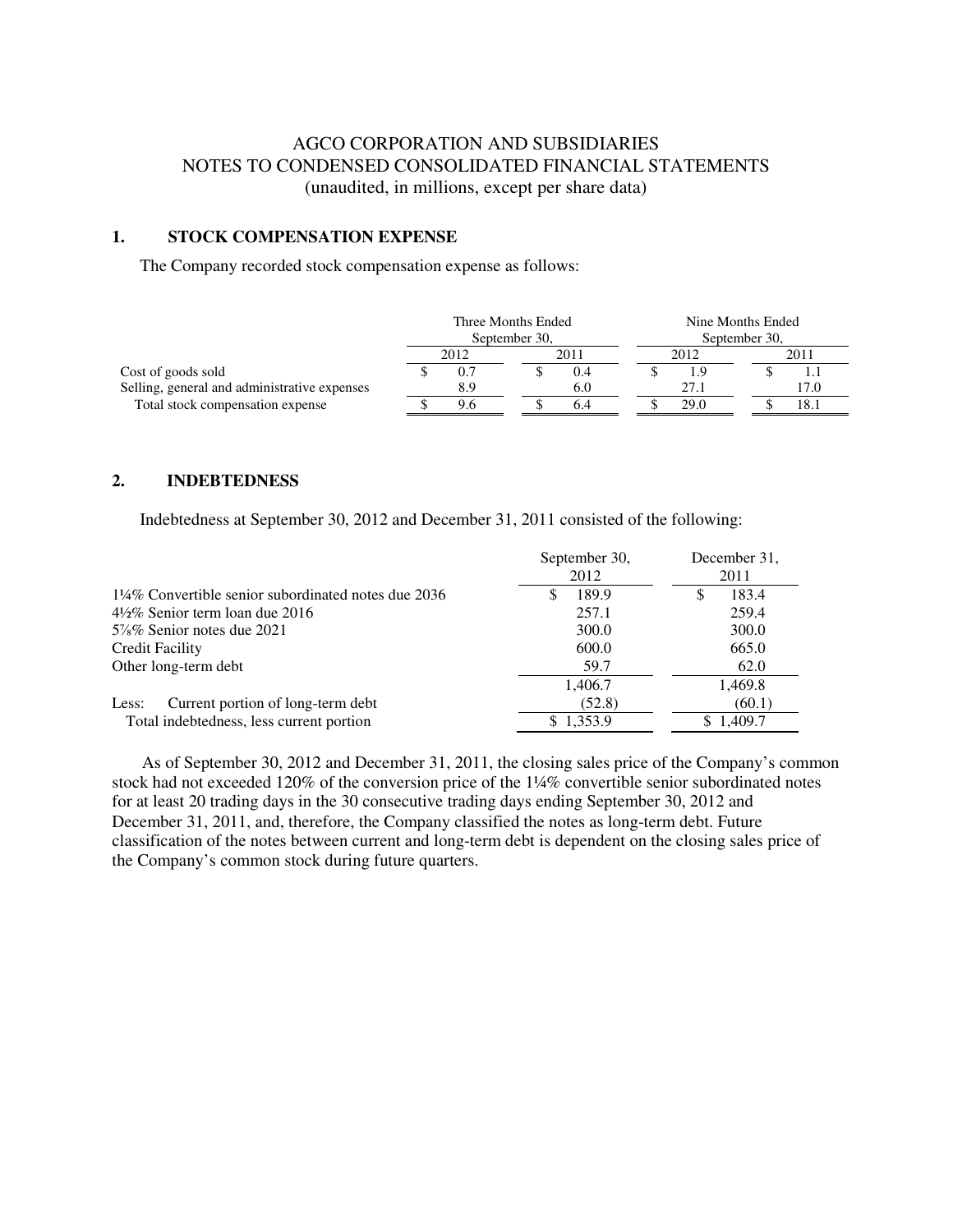# AGCO CORPORATION AND SUBSIDIARIES NOTES TO CONDENSED CONSOLIDATED FINANCIAL STATEMENTS (unaudited, in millions, except per share data)

#### **1. STOCK COMPENSATION EXPENSE**

The Company recorded stock compensation expense as follows:

|                                              | Three Months Ended<br>September 30. |      |  |      | September 30. | Nine Months Ended |      |
|----------------------------------------------|-------------------------------------|------|--|------|---------------|-------------------|------|
|                                              |                                     | 2012 |  | 2011 | 2012          |                   | 2011 |
| Cost of goods sold                           |                                     |      |  | 0.4  |               |                   |      |
| Selling, general and administrative expenses |                                     | 8.9  |  | 6.0  | 27.7          |                   | 7.0  |
| Total stock compensation expense             |                                     | 9.6  |  | 6.4  | 29.0          |                   | 18.1 |

### **2. INDEBTEDNESS**

Indebtedness at September 30, 2012 and December 31, 2011 consisted of the following:

|                                                    | September 30,<br>2012 | December 31,<br>2011 |  |  |
|----------------------------------------------------|-----------------------|----------------------|--|--|
| 1¼% Convertible senior subordinated notes due 2036 | 189.9                 | 183.4<br>S           |  |  |
| $4\frac{1}{2}\%$ Senior term loan due 2016         | 257.1                 | 259.4                |  |  |
| $5\%$ % Senior notes due 2021                      | 300.0                 | 300.0                |  |  |
| <b>Credit Facility</b>                             | 600.0                 | 665.0                |  |  |
| Other long-term debt                               | 59.7                  | 62.0                 |  |  |
|                                                    | 1,406.7               | 1,469.8              |  |  |
| Current portion of long-term debt<br>Less:         | (52.8)                | (60.1)               |  |  |
| Total indebtedness, less current portion           | \$1,353.9             | 1.409.7<br>S.        |  |  |

 As of September 30, 2012 and December 31, 2011, the closing sales price of the Company's common stock had not exceeded 120% of the conversion price of the 1¼% convertible senior subordinated notes for at least 20 trading days in the 30 consecutive trading days ending September 30, 2012 and December 31, 2011, and, therefore, the Company classified the notes as long-term debt. Future classification of the notes between current and long-term debt is dependent on the closing sales price of the Company's common stock during future quarters.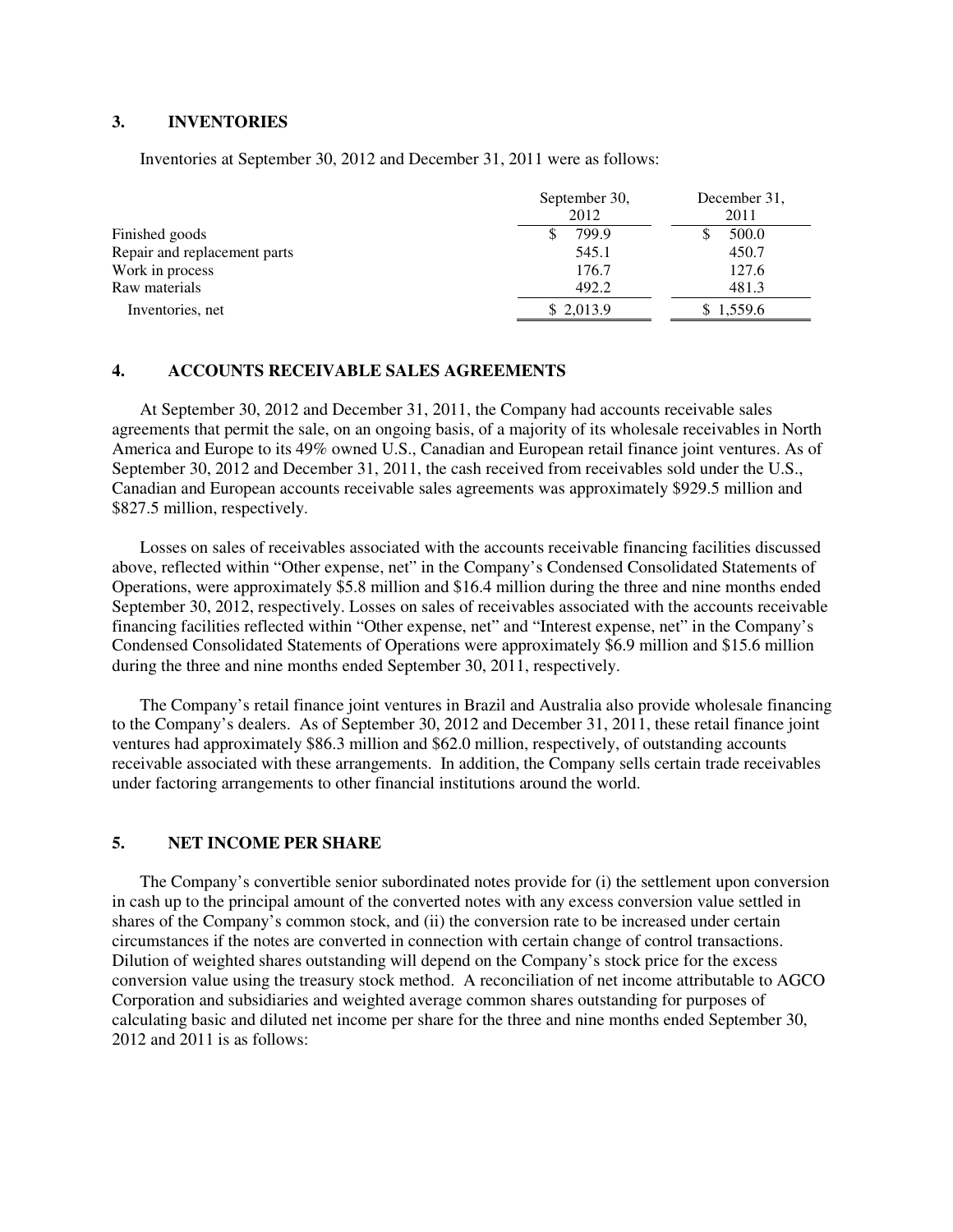#### **3. INVENTORIES**

Inventories at September 30, 2012 and December 31, 2011 were as follows:

|                              | September 30,<br>2012 | December 31,<br>2011 |  |  |
|------------------------------|-----------------------|----------------------|--|--|
| Finished goods               | 799.9                 | 500.0                |  |  |
| Repair and replacement parts | 545.1                 | 450.7                |  |  |
| Work in process              | 176.7                 | 127.6                |  |  |
| Raw materials                | 492.2                 | 481.3                |  |  |
| Inventories, net             | \$2,013.9             | \$1,559.6            |  |  |

### **4. ACCOUNTS RECEIVABLE SALES AGREEMENTS**

At September 30, 2012 and December 31, 2011, the Company had accounts receivable sales agreements that permit the sale, on an ongoing basis, of a majority of its wholesale receivables in North America and Europe to its 49% owned U.S., Canadian and European retail finance joint ventures. As of September 30, 2012 and December 31, 2011, the cash received from receivables sold under the U.S., Canadian and European accounts receivable sales agreements was approximately \$929.5 million and \$827.5 million, respectively.

Losses on sales of receivables associated with the accounts receivable financing facilities discussed above, reflected within "Other expense, net" in the Company's Condensed Consolidated Statements of Operations, were approximately \$5.8 million and \$16.4 million during the three and nine months ended September 30, 2012, respectively. Losses on sales of receivables associated with the accounts receivable financing facilities reflected within "Other expense, net" and "Interest expense, net" in the Company's Condensed Consolidated Statements of Operations were approximately \$6.9 million and \$15.6 million during the three and nine months ended September 30, 2011, respectively.

The Company's retail finance joint ventures in Brazil and Australia also provide wholesale financing to the Company's dealers. As of September 30, 2012 and December 31, 2011, these retail finance joint ventures had approximately \$86.3 million and \$62.0 million, respectively, of outstanding accounts receivable associated with these arrangements. In addition, the Company sells certain trade receivables under factoring arrangements to other financial institutions around the world.

#### **5. NET INCOME PER SHARE**

The Company's convertible senior subordinated notes provide for (i) the settlement upon conversion in cash up to the principal amount of the converted notes with any excess conversion value settled in shares of the Company's common stock, and (ii) the conversion rate to be increased under certain circumstances if the notes are converted in connection with certain change of control transactions. Dilution of weighted shares outstanding will depend on the Company's stock price for the excess conversion value using the treasury stock method. A reconciliation of net income attributable to AGCO Corporation and subsidiaries and weighted average common shares outstanding for purposes of calculating basic and diluted net income per share for the three and nine months ended September 30, 2012 and 2011 is as follows: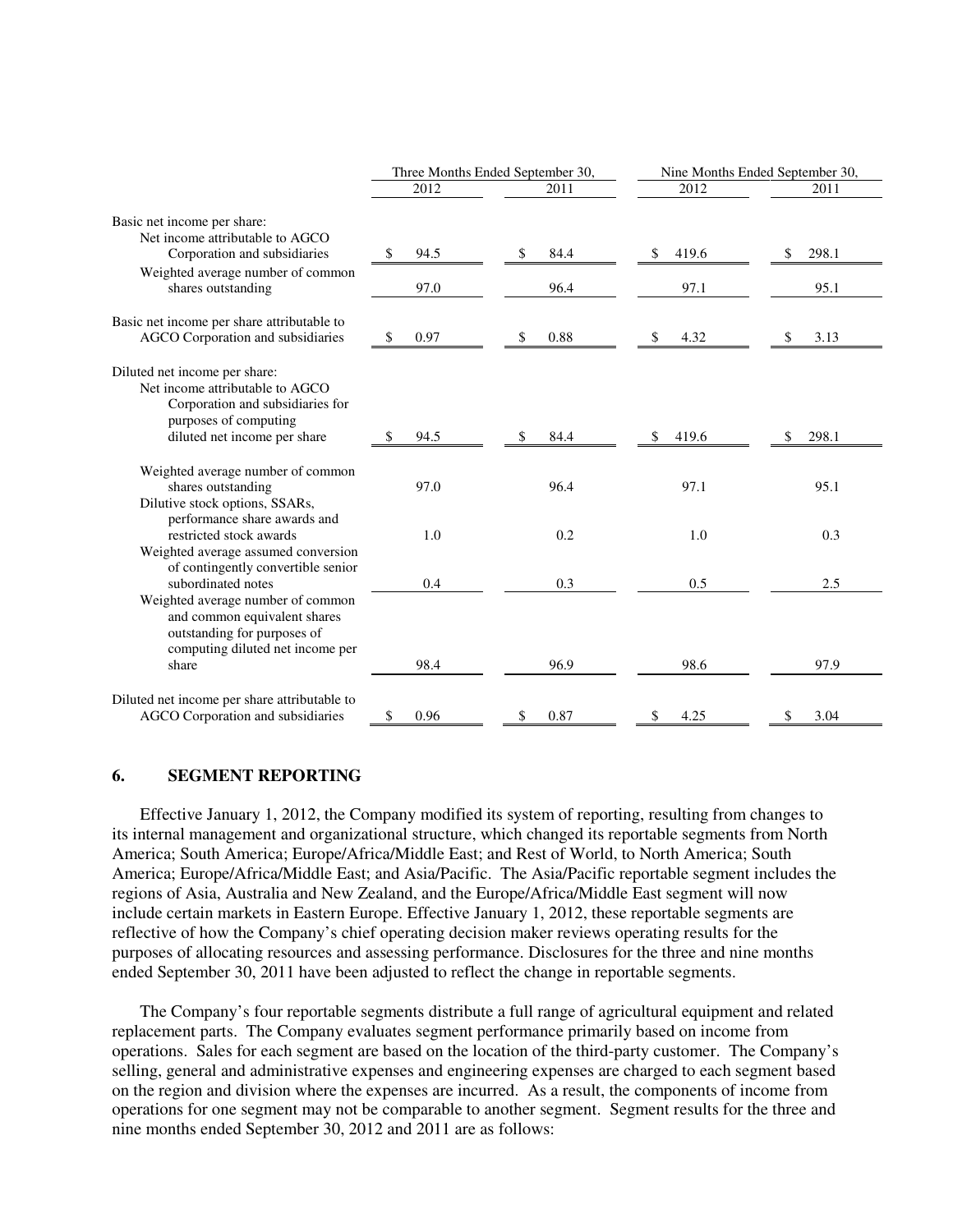|                                                                                                                                                               |            | Three Months Ended September 30, | Nine Months Ended September 30, |            |  |  |
|---------------------------------------------------------------------------------------------------------------------------------------------------------------|------------|----------------------------------|---------------------------------|------------|--|--|
|                                                                                                                                                               | 2012       | 2011                             | 2012                            | 2011       |  |  |
| Basic net income per share:<br>Net income attributable to AGCO                                                                                                |            |                                  |                                 |            |  |  |
| Corporation and subsidiaries                                                                                                                                  | 94.5<br>-S | \$<br>84.4                       | 419.6<br>\$                     | 298.1<br>S |  |  |
| Weighted average number of common<br>shares outstanding                                                                                                       | 97.0       | 96.4                             | 97.1                            | 95.1       |  |  |
| Basic net income per share attributable to<br>AGCO Corporation and subsidiaries                                                                               | 0.97<br>-S | 0.88<br>\$                       | 4.32<br>\$                      | 3.13       |  |  |
| Diluted net income per share:<br>Net income attributable to AGCO<br>Corporation and subsidiaries for<br>purposes of computing<br>diluted net income per share | 94.5<br>S  | 84.4<br>\$                       | 419.6<br>\$                     | 298.1      |  |  |
| Weighted average number of common<br>shares outstanding<br>Dilutive stock options, SSARs,<br>performance share awards and                                     | 97.0       | 96.4                             | 97.1                            | 95.1       |  |  |
| restricted stock awards<br>Weighted average assumed conversion<br>of contingently convertible senior                                                          | 1.0        | 0.2                              | 1.0                             | 0.3        |  |  |
| subordinated notes<br>Weighted average number of common                                                                                                       | 0.4        | 0.3                              | 0.5                             | 2.5        |  |  |
| and common equivalent shares<br>outstanding for purposes of<br>computing diluted net income per<br>share                                                      | 98.4       | 96.9                             | 98.6                            | 97.9       |  |  |
| Diluted net income per share attributable to<br>AGCO Corporation and subsidiaries                                                                             | 0.96<br>\$ | 0.87<br>S                        | 4.25<br>S                       | 3.04<br>S  |  |  |

#### **6. SEGMENT REPORTING**

Effective January 1, 2012, the Company modified its system of reporting, resulting from changes to its internal management and organizational structure, which changed its reportable segments from North America; South America; Europe/Africa/Middle East; and Rest of World, to North America; South America; Europe/Africa/Middle East; and Asia/Pacific. The Asia/Pacific reportable segment includes the regions of Asia, Australia and New Zealand, and the Europe/Africa/Middle East segment will now include certain markets in Eastern Europe. Effective January 1, 2012, these reportable segments are reflective of how the Company's chief operating decision maker reviews operating results for the purposes of allocating resources and assessing performance. Disclosures for the three and nine months ended September 30, 2011 have been adjusted to reflect the change in reportable segments.

The Company's four reportable segments distribute a full range of agricultural equipment and related replacement parts. The Company evaluates segment performance primarily based on income from operations. Sales for each segment are based on the location of the third-party customer. The Company's selling, general and administrative expenses and engineering expenses are charged to each segment based on the region and division where the expenses are incurred. As a result, the components of income from operations for one segment may not be comparable to another segment. Segment results for the three and nine months ended September 30, 2012 and 2011 are as follows: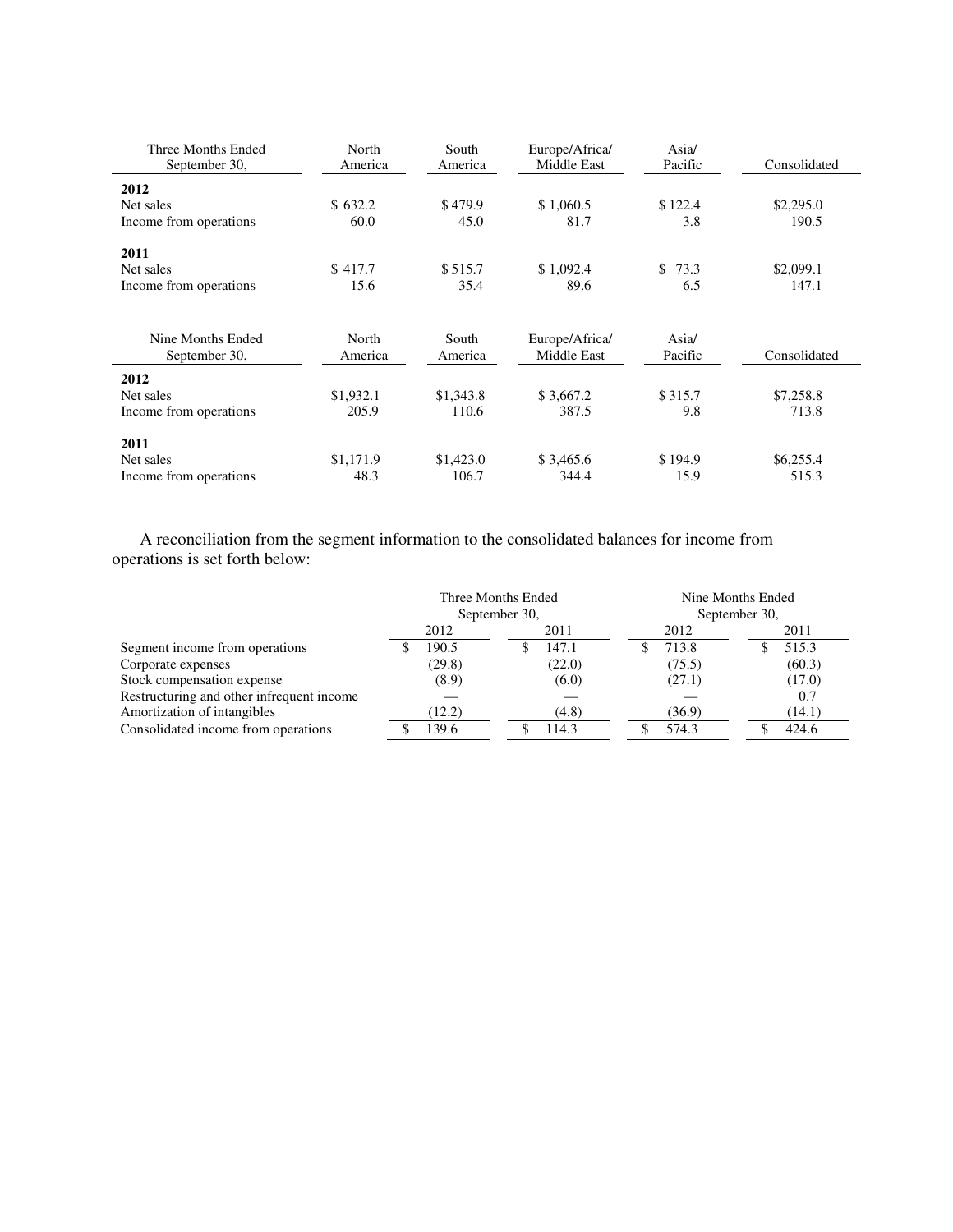| Three Months Ended<br>September 30, | North<br>America | South<br>America | Europe/Africa/<br>Middle East | Asia/<br>Pacific | Consolidated |
|-------------------------------------|------------------|------------------|-------------------------------|------------------|--------------|
|                                     |                  |                  |                               |                  |              |
| 2012                                |                  |                  |                               |                  |              |
| Net sales                           | \$632.2          | \$479.9          | \$1,060.5                     | \$122.4          | \$2,295.0    |
| Income from operations              | 60.0             | 45.0             | 81.7                          | 3.8              | 190.5        |
| 2011                                |                  |                  |                               |                  |              |
| Net sales                           | \$417.7          | \$515.7          | \$1,092.4                     | \$73.3           | \$2,099.1    |
| Income from operations              | 15.6             | 35.4             | 89.6                          | 6.5              | 147.1        |
|                                     |                  |                  |                               |                  |              |
| Nine Months Ended                   | North            | South            | Europe/Africa/                | Asia/            |              |
| September 30,                       | America          | America          | Middle East                   | Pacific          | Consolidated |
| 2012                                |                  |                  |                               |                  |              |
| Net sales                           | \$1,932.1        | \$1,343.8        | \$3,667.2                     | \$315.7          | \$7,258.8    |
| Income from operations              | 205.9            | 110.6            | 387.5                         | 9.8              | 713.8        |
| 2011                                |                  |                  |                               |                  |              |
| Net sales                           | \$1,171.9        | \$1,423.0        | \$3,465.6                     | \$194.9          | \$6,255.4    |
| Income from operations              | 48.3             | 106.7            | 344.4                         | 15.9             | 515.3        |

A reconciliation from the segment information to the consolidated balances for income from operations is set forth below:

|                                           | Three Months Ended<br>September 30, |        |  |        |        |  | Nine Months Ended<br>September 30, |        |  |
|-------------------------------------------|-------------------------------------|--------|--|--------|--------|--|------------------------------------|--------|--|
|                                           | 2012<br>2011                        |        |  |        | 2012   |  |                                    | 2011   |  |
| Segment income from operations            |                                     | 190.5  |  | 147.1  | 713.8  |  |                                    | 515.3  |  |
| Corporate expenses                        |                                     | (29.8) |  | (22.0) | (75.5) |  |                                    | (60.3) |  |
| Stock compensation expense                |                                     | (8.9)  |  | (6.0)  | (27.1) |  |                                    | (17.0) |  |
| Restructuring and other infrequent income |                                     |        |  |        |        |  |                                    | 0.7    |  |
| Amortization of intangibles               |                                     | (12.2) |  | (4.8)  | (36.9) |  |                                    | (14.1) |  |
| Consolidated income from operations       |                                     | 139.6  |  | 114.3  | 574.3  |  |                                    | 424.6  |  |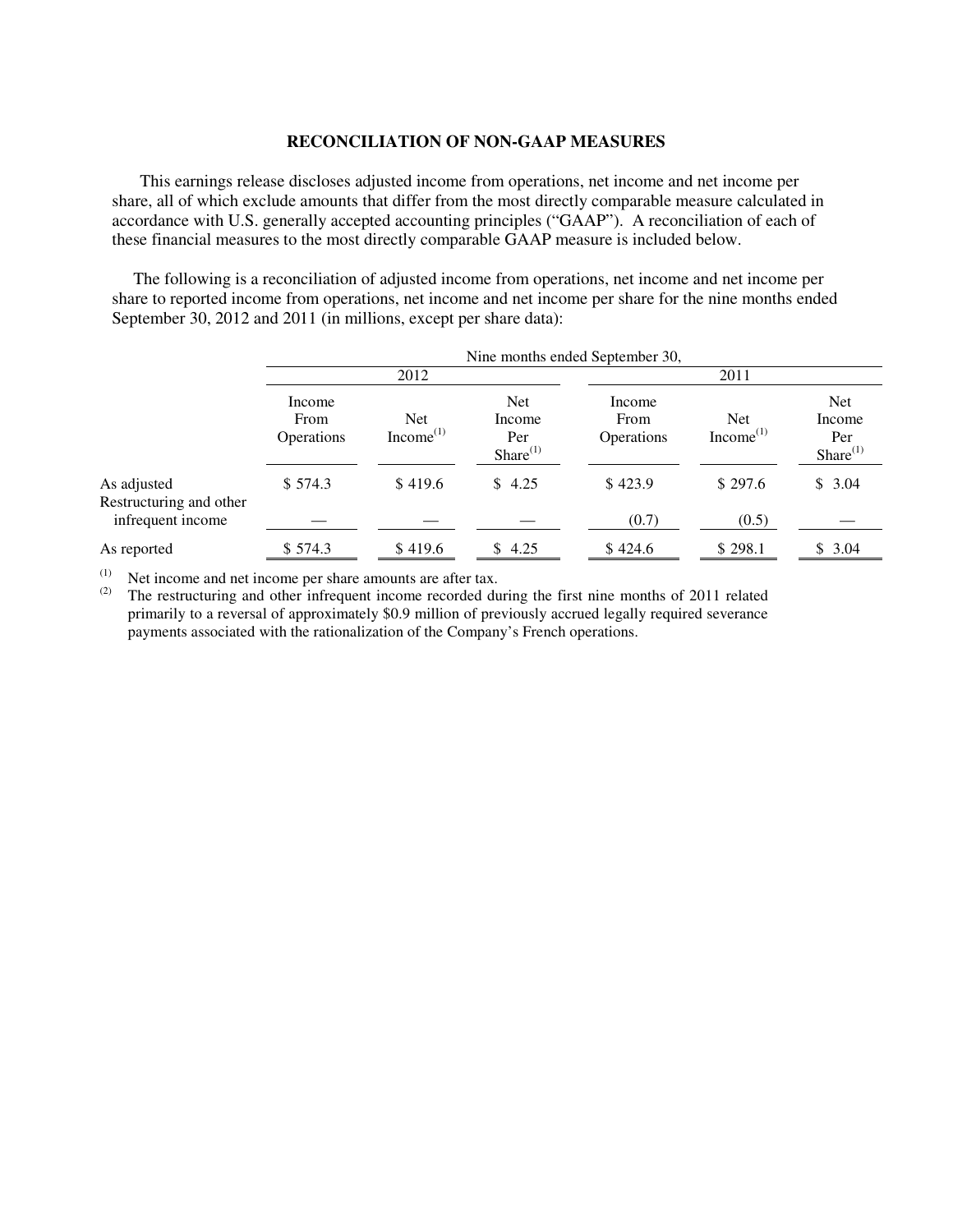#### **RECONCILIATION OF NON-GAAP MEASURES**

This earnings release discloses adjusted income from operations, net income and net income per share, all of which exclude amounts that differ from the most directly comparable measure calculated in accordance with U.S. generally accepted accounting principles ("GAAP"). A reconciliation of each of these financial measures to the most directly comparable GAAP measure is included below.

 The following is a reconciliation of adjusted income from operations, net income and net income per share to reported income from operations, net income and net income per share for the nine months ended September 30, 2012 and 2011 (in millions, except per share data):

|                                        | Nine months ended September 30, |                                     |                                              |                              |                                     |                      |  |  |
|----------------------------------------|---------------------------------|-------------------------------------|----------------------------------------------|------------------------------|-------------------------------------|----------------------|--|--|
|                                        | 2012                            |                                     |                                              |                              | 2011                                | <b>Net</b><br>Income |  |  |
|                                        | Income<br>From<br>Operations    | <b>Net</b><br>Income <sup>(1)</sup> | <b>Net</b><br>Income<br>Per<br>$Share^{(1)}$ | Income<br>From<br>Operations | <b>Net</b><br>Income <sup>(1)</sup> | Per<br>$Share^{(1)}$ |  |  |
| As adjusted<br>Restructuring and other | \$574.3                         | \$419.6                             | \$4.25                                       | \$423.9                      | \$297.6                             | \$3.04               |  |  |
| infrequent income                      |                                 |                                     |                                              | (0.7)                        | (0.5)                               |                      |  |  |
| As reported                            | \$574.3                         | \$419.6                             | \$4.25                                       | \$424.6                      | \$298.1                             | \$3.04               |  |  |

(1) Net income and net income per share amounts are after tax.<br>(2) The restructuring and other infrequent income recorded du

The restructuring and other infrequent income recorded during the first nine months of 2011 related primarily to a reversal of approximately \$0.9 million of previously accrued legally required severance payments associated with the rationalization of the Company's French operations.